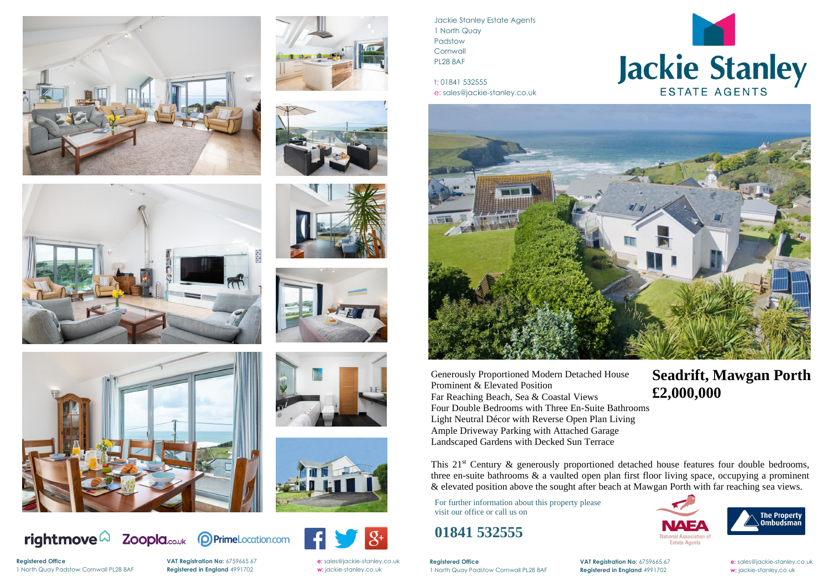





















 $|g_{\dagger}|$ 

Jackie Stanley Estate Agents 1 North Quay Padstow **Cornwall** PL28 8AF

t: 01841 532555 e: sales@jackie-stanley.co.uk



**Registered Office VAT Registration No:** 6759665 67 **e:** [sales@jackie-stanley.co.uk](mailto:sales@jackie-stanley.co.uk)



# Jackie Stanley

1 North Quay Padstow Cornwall PL28 8AF **Registered in England** 4991702 **w:** jackie-stanley.co.uk

For further information about this property please visit our office or call us on

### **01841 532555**

This 21<sup>st</sup> Century & generously proportioned detached house features four double bedrooms, three en-suite bathrooms & a vaulted open plan first floor living space, occupying a prominent & elevated position above the sought after beach at Mawgan Porth with far reaching sea views.

Generously Proportioned Modern Detached House Prominent & Elevated Position Far Reaching Beach, Sea & Coastal Views Four Double Bedrooms with Three En-Suite Bathrooms Light Neutral Décor with Reverse Open Plan Living Ample Driveway Parking with Attached Garage Landscaped Gardens with Decked Sun Terrace

**Reaistered Office** 1 North Quay Padstow Cornwall PL28 8AF **Registered in England** 4991702 **w:** jackie-stanley.co.uk

## **Seadrift, Mawgan Porth £2,000,000**





**Registered Office VAT Registration No:** 6759665 67 **e:** [sales@jackie-stanley.co.uk](mailto:sales@jackie-stanley.co.uk)